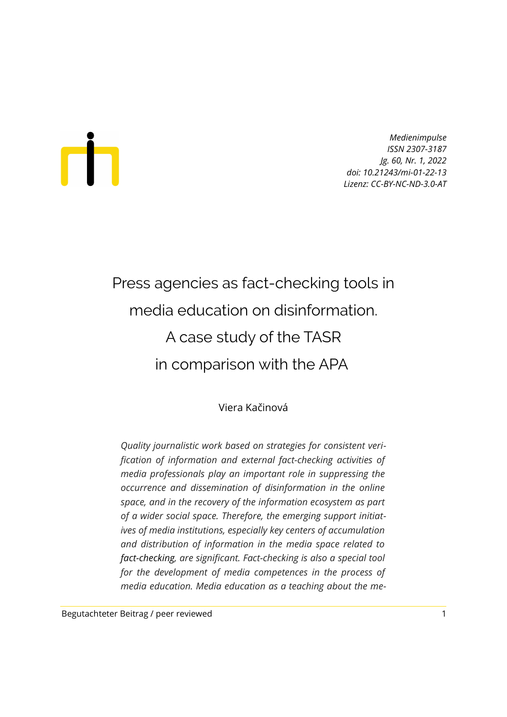# Ш

*Medienimpulse ISSN 2307-3187 Jg. 60, Nr. 1, 2022 doi: 10.21243/mi-01-22-13 Lizenz: CC-BY-NC-ND-3.0-AT*

## Press agencies as fact-checking tools in media education on disinformation. A case study of the TASR in comparison with the APA

Viera Kačinová

*Quality journalistic work based on strategies for consistent verification of information and external fact-checking activities of media professionals play an important role in suppressing the occurrence and dissemination of disinformation in the online space, and in the recovery of the information ecosystem as part of a wider social space. Therefore, the emerging support initiatives of media institutions, especially key centers of accumulation and distribution of information in the media space related to fact-checking, are significant. Fact-checking is also a special tool for the development of media competences in the process of media education. Media education as a teaching about the me-*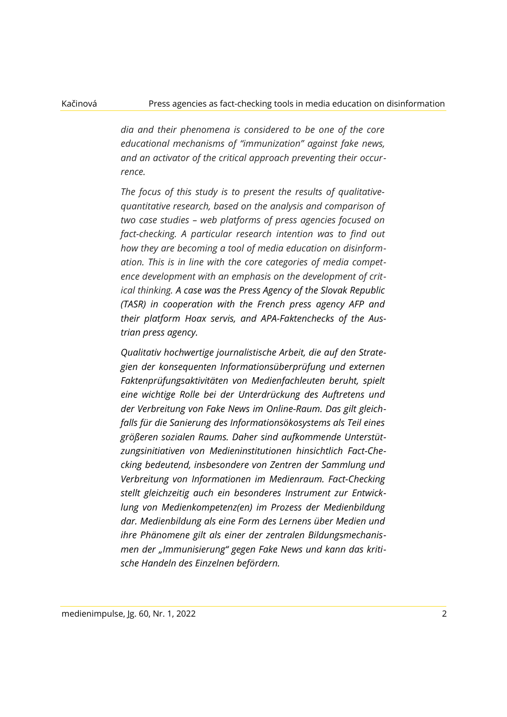*dia and their phenomena is considered to be one of the core educational mechanisms of "immunization" against fake news, and an activator of the critical approach preventing their occurrence.* 

*The focus of this study is to present the results of qualitativequantitative research, based on the analysis and comparison of two case studies – web platforms of press agencies focused on fact-checking. A particular research intention was to find out how they are becoming a tool of media education on disinformation. This is in line with the core categories of media competence development with an emphasis on the development of critical thinking. A case was the Press Agency of the Slovak Republic (TASR) in cooperation with the French press agency AFP and their platform Hoax servis, and APA-Faktenchecks of the Austrian press agency.*

*Qualitativ hochwertige journalistische Arbeit, die auf den Strategien der konsequenten Informationsüberprüfung und externen Faktenprüfungsaktivitäten von Medienfachleuten beruht, spielt eine wichtige Rolle bei der Unterdrückung des Auftretens und der Verbreitung von Fake News im Online-Raum. Das gilt gleichfalls für die Sanierung des Informationsökosystems als Teil eines größeren sozialen Raums. Daher sind aufkommende Unterstützungsinitiativen von Medieninstitutionen hinsichtlich Fact-Checking bedeutend, insbesondere von Zentren der Sammlung und Verbreitung von Informationen im Medienraum. Fact-Checking stellt gleichzeitig auch ein besonderes Instrument zur Entwicklung von Medienkompetenz(en) im Prozess der Medienbildung dar. Medienbildung als eine Form des Lernens über Medien und ihre Phänomene gilt als einer der zentralen Bildungsmechanismen der "Immunisierung" gegen Fake News und kann das kritische Handeln des Einzelnen befördern.*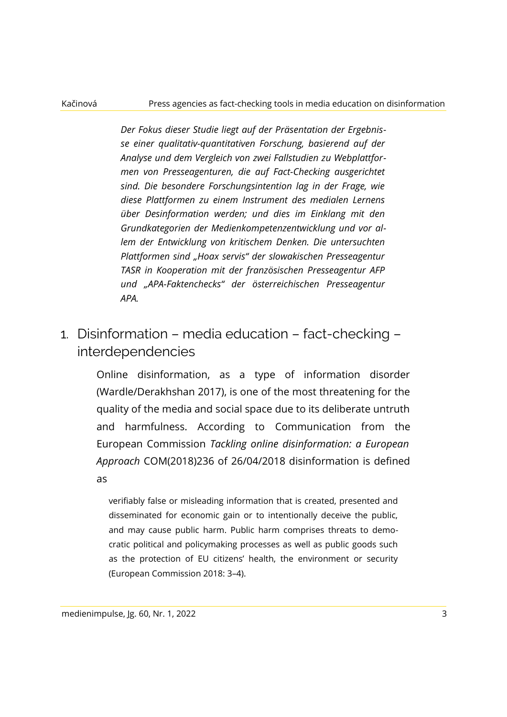### Kačinová Press agencies as fact-checking tools in media education on disinformation

*Der Fokus dieser Studie liegt auf der Präsentation der Ergebnisse einer qualitativ-quantitativen Forschung, basierend auf der Analyse und dem Vergleich von zwei Fallstudien zu Webplattformen von Presseagenturen, die auf Fact-Checking ausgerichtet sind. Die besondere Forschungsintention lag in der Frage, wie diese Plattformen zu einem Instrument des medialen Lernens über Desinformation werden; und dies im Einklang mit den Grundkategorien der Medienkompetenzentwicklung und vor allem der Entwicklung von kritischem Denken. Die untersuchten Plattformen sind "Hoax servis" der slowakischen Presseagentur TASR in Kooperation mit der französischen Presseagentur AFP und "APA-Faktenchecks" der österreichischen Presseagentur APA.*

1. Disinformation – media education – fact-checking – interdependencies

> Online disinformation, as a type of information disorder (Wardle/Derakhshan 2017), is one of the most threatening for the quality of the media and social space due to its deliberate untruth and harmfulness. According to Communication from the European Commission *Tackling online disinformation: a European Approach* COM(2018)236 of 26/04/2018 disinformation is defined as

verifiably false or misleading information that is created, presented and disseminated for economic gain or to intentionally deceive the public, and may cause public harm. Public harm comprises threats to democratic political and policymaking processes as well as public goods such as the protection of EU citizens' health, the environment or security (European Commission 2018: 3–4).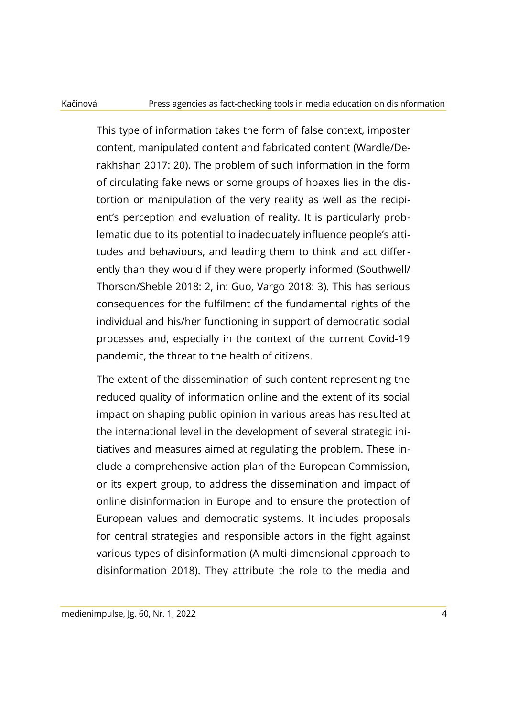### Kačinová Press agencies as fact-checking tools in media education on disinformation

This type of information takes the form of false context, imposter content, manipulated content and fabricated content (Wardle/Derakhshan 2017: 20). The problem of such information in the form of circulating fake news or some groups of hoaxes lies in the distortion or manipulation of the very reality as well as the recipient's perception and evaluation of reality. It is particularly problematic due to its potential to inadequately influence people's attitudes and behaviours, and leading them to think and act differently than they would if they were properly informed (Southwell/ Thorson/Sheble 2018: 2, in: Guo, Vargo 2018: 3). This has serious consequences for the fulfilment of the fundamental rights of the individual and his/her functioning in support of democratic social processes and, especially in the context of the current Covid-19 pandemic, the threat to the health of citizens.

The extent of the dissemination of such content representing the reduced quality of information online and the extent of its social impact on shaping public opinion in various areas has resulted at the international level in the development of several strategic initiatives and measures aimed at regulating the problem. These include a comprehensive action plan of the European Commission, or its expert group, to address the dissemination and impact of online disinformation in Europe and to ensure the protection of European values and democratic systems. It includes proposals for central strategies and responsible actors in the fight against various types of disinformation (A multi-dimensional approach to disinformation 2018). They attribute the role to the media and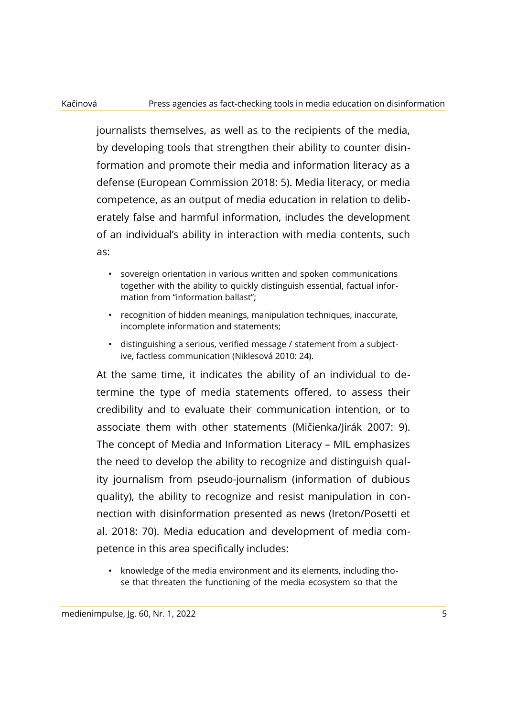journalists themselves, as well as to the recipients of the media, by developing tools that strengthen their ability to counter disinformation and promote their media and information literacy as a defense (European Commission 2018: 5). Media literacy, or media competence, as an output of media education in relation to deliberately false and harmful information, includes the development of an individual's ability in interaction with media contents, such as:

- sovereign orientation in various written and spoken communications together with the ability to quickly distinguish essential, factual information from "information ballast";
- recognition of hidden meanings, manipulation techniques, inaccurate, incomplete information and statements;
- distinguishing a serious, verified message / statement from a subjective, factless communication (Niklesová 2010: 24).

At the same time, it indicates the ability of an individual to determine the type of media statements offered, to assess their credibility and to evaluate their communication intention, or to associate them with other statements (Mičienka/Jirák 2007: 9). The concept of Media and Information Literacy – MIL emphasizes the need to develop the ability to recognize and distinguish quality journalism from pseudo-journalism (information of dubious quality), the ability to recognize and resist manipulation in connection with disinformation presented as news (Ireton/Posetti et al. 2018: 70). Media education and development of media competence in this area specifically includes:

• knowledge of the media environment and its elements, including those that threaten the functioning of the media ecosystem so that the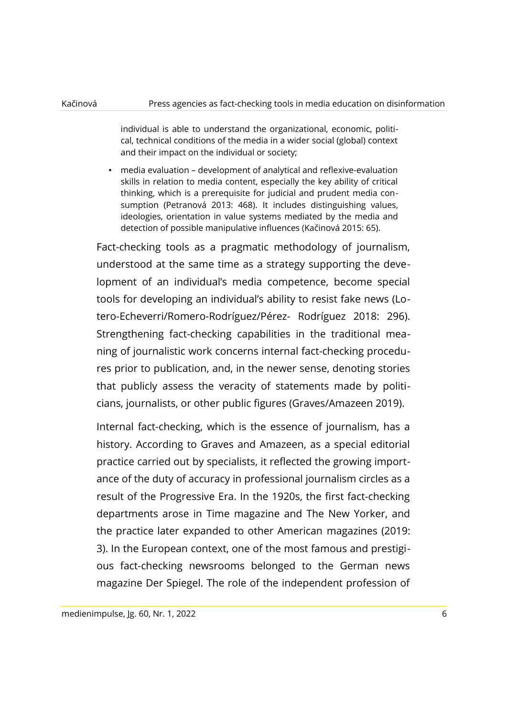individual is able to understand the organizational, economic, political, technical conditions of the media in a wider social (global) context and their impact on the individual or society;

• media evaluation – development of analytical and reflexive-evaluation skills in relation to media content, especially the key ability of critical thinking, which is a prerequisite for judicial and prudent media consumption (Petranová 2013: 468). It includes distinguishing values, ideologies, orientation in value systems mediated by the media and detection of possible manipulative influences (Kačinová 2015: 65).

Fact-checking tools as a pragmatic methodology of journalism, understood at the same time as a strategy supporting the development of an individual's media competence, become special tools for developing an individual's ability to resist fake news (Lotero-Echeverri/Romero-Rodríguez/Pérez- Rodríguez 2018: 296). Strengthening fact-checking capabilities in the traditional meaning of journalistic work concerns internal fact-checking procedures prior to publication, and, in the newer sense, denoting stories that publicly assess the veracity of statements made by politicians, journalists, or other public figures (Graves/Amazeen 2019).

Internal fact-checking, which is the essence of journalism, has a history. According to Graves and Amazeen, as a special editorial practice carried out by specialists, it reflected the growing importance of the duty of accuracy in professional journalism circles as a result of the Progressive Era. In the 1920s, the first fact-checking departments arose in Time magazine and The New Yorker, and the practice later expanded to other American magazines (2019: 3). In the European context, one of the most famous and prestigious fact-checking newsrooms belonged to the German news magazine Der Spiegel. The role of the independent profession of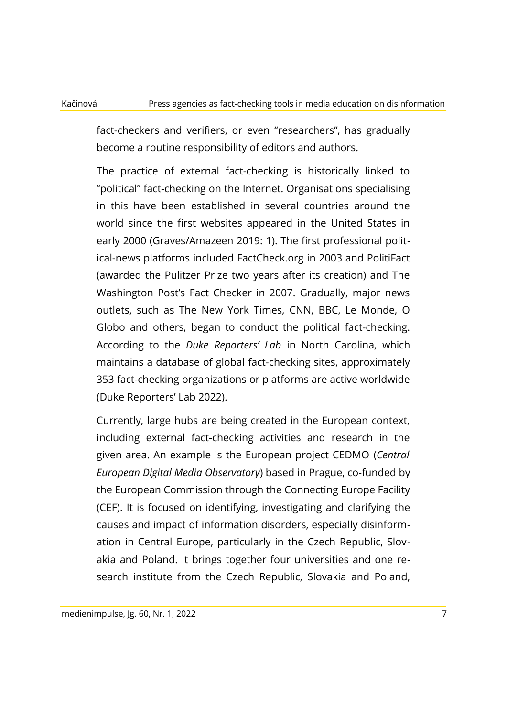fact-checkers and verifiers, or even "researchers", has gradually become a routine responsibility of editors and authors.

The practice of external fact-checking is historically linked to "political" fact-checking on the Internet. Organisations specialising in this have been established in several countries around the world since the first websites appeared in the United States in early 2000 (Graves/Amazeen 2019: 1). The first professional political-news platforms included FactCheck.org in 2003 and PolitiFact (awarded the Pulitzer Prize two years after its creation) and The Washington Post's Fact Checker in 2007. Gradually, major news outlets, such as The New York Times, CNN, BBC, Le Monde, O Globo and others, began to conduct the political fact-checking. According to the *Duke Reporters' Lab* in North Carolina, which maintains a database of global fact-checking sites, approximately 353 fact-checking organizations or platforms are active worldwide (Duke Reporters' Lab 2022).

Currently, large hubs are being created in the European context, including external fact-checking activities and research in the given area. An example is the European project CEDMO (*Central European Digital Media Observatory*) based in Prague, co-funded by the European Commission through the Connecting Europe Facility (CEF). It is focused on identifying, investigating and clarifying the causes and impact of information disorders, especially disinformation in Central Europe, particularly in the Czech Republic, Slovakia and Poland. It brings together four universities and one research institute from the Czech Republic, Slovakia and Poland,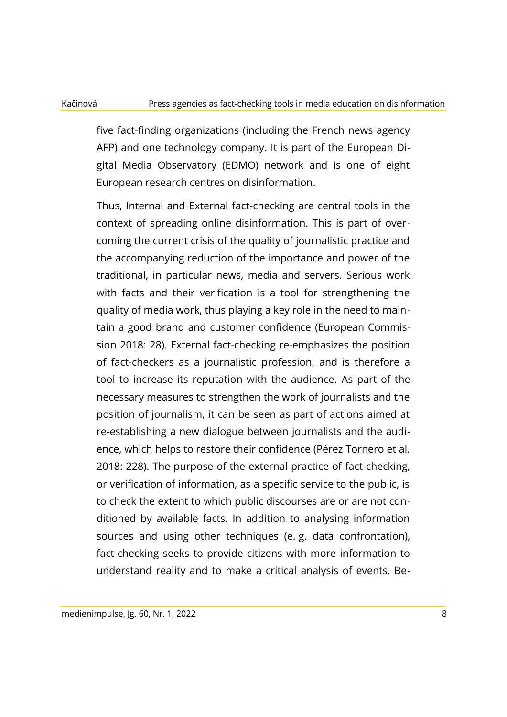five fact-finding organizations (including the French news agency AFP) and one technology company. It is part of the European Digital Media Observatory (EDMO) network and is one of eight European research centres on disinformation.

Thus, Internal and External fact-checking are central tools in the context of spreading online disinformation. This is part of overcoming the current crisis of the quality of journalistic practice and the accompanying reduction of the importance and power of the traditional, in particular news, media and servers. Serious work with facts and their verification is a tool for strengthening the quality of media work, thus playing a key role in the need to maintain a good brand and customer confidence (European Commission 2018: 28). External fact-checking re-emphasizes the position of fact-checkers as a journalistic profession, and is therefore a tool to increase its reputation with the audience. As part of the necessary measures to strengthen the work of journalists and the position of journalism, it can be seen as part of actions aimed at re-establishing a new dialogue between journalists and the audience, which helps to restore their confidence (Pérez Tornero et al. 2018: 228). The purpose of the external practice of fact-checking, or verification of information, as a specific service to the public, is to check the extent to which public discourses are or are not conditioned by available facts. In addition to analysing information sources and using other techniques (e. g. data confrontation), fact-checking seeks to provide citizens with more information to understand reality and to make a critical analysis of events. Be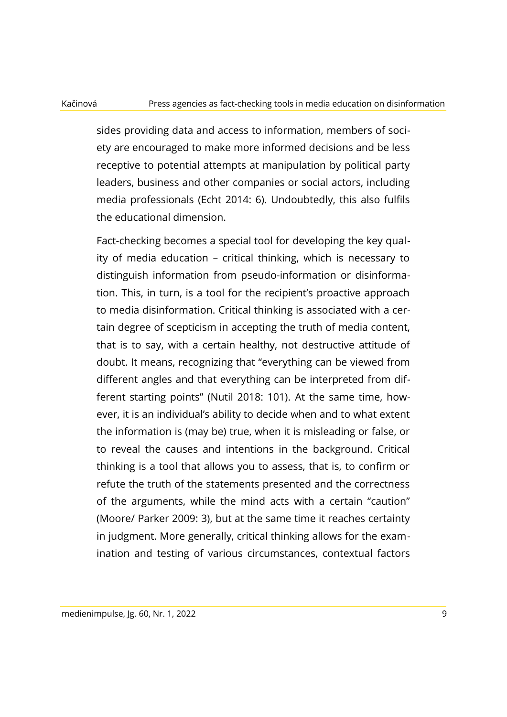sides providing data and access to information, members of society are encouraged to make more informed decisions and be less receptive to potential attempts at manipulation by political party leaders, business and other companies or social actors, including media professionals (Echt 2014: 6). Undoubtedly, this also fulfils the educational dimension.

Fact-checking becomes a special tool for developing the key quality of media education – critical thinking, which is necessary to distinguish information from pseudo-information or disinformation. This, in turn, is a tool for the recipient's proactive approach to media disinformation. Critical thinking is associated with a certain degree of scepticism in accepting the truth of media content, that is to say, with a certain healthy, not destructive attitude of doubt. It means, recognizing that "everything can be viewed from different angles and that everything can be interpreted from different starting points" (Nutil 2018: 101). At the same time, however, it is an individual's ability to decide when and to what extent the information is (may be) true, when it is misleading or false, or to reveal the causes and intentions in the background. Critical thinking is a tool that allows you to assess, that is, to confirm or refute the truth of the statements presented and the correctness of the arguments, while the mind acts with a certain "caution" (Moore/ Parker 2009: 3), but at the same time it reaches certainty in judgment. More generally, critical thinking allows for the examination and testing of various circumstances, contextual factors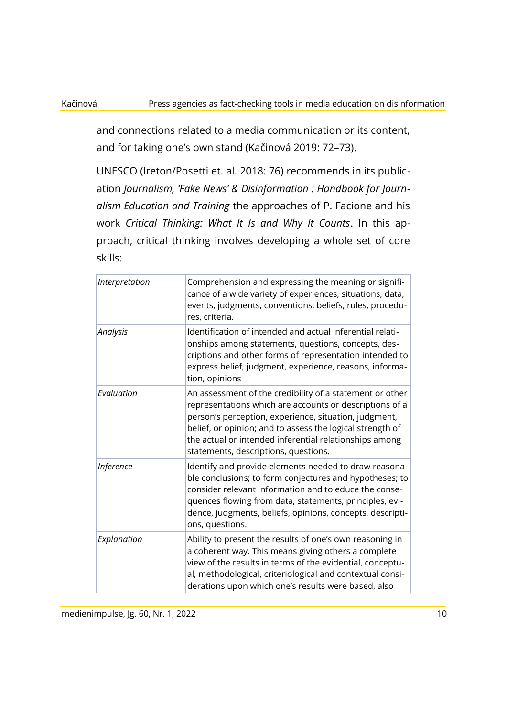and connections related to a media communication or its content, and for taking one's own stand (Kačinová 2019: 72–73).

UNESCO (Ireton/Posetti et. al. 2018: 76) recommends in its publication *Journalism, 'Fake News' & Disinformation : Handbook for Journalism Education and Training* the approaches of P. Facione and his work *Critical Thinking: What It Is and Why It Counts*. In this approach, critical thinking involves developing a whole set of core skills:

| Interpretation   | Comprehension and expressing the meaning or signifi-<br>cance of a wide variety of experiences, situations, data,<br>events, judgments, conventions, beliefs, rules, procedu-<br>res, criteria.                                                                                                                                             |
|------------------|---------------------------------------------------------------------------------------------------------------------------------------------------------------------------------------------------------------------------------------------------------------------------------------------------------------------------------------------|
| Analysis         | Identification of intended and actual inferential relati-<br>onships among statements, questions, concepts, des-<br>criptions and other forms of representation intended to<br>express belief, judgment, experience, reasons, informa-<br>tion, opinions                                                                                    |
| Evaluation       | An assessment of the credibility of a statement or other<br>representations which are accounts or descriptions of a<br>person's perception, experience, situation, judgment,<br>belief, or opinion; and to assess the logical strength of<br>the actual or intended inferential relationships among<br>statements, descriptions, questions. |
| <b>Inference</b> | Identify and provide elements needed to draw reasona-<br>ble conclusions; to form conjectures and hypotheses; to<br>consider relevant information and to educe the conse-<br>quences flowing from data, statements, principles, evi-<br>dence, judgments, beliefs, opinions, concepts, descripti-<br>ons, questions.                        |
| Explanation      | Ability to present the results of one's own reasoning in<br>a coherent way. This means giving others a complete<br>view of the results in terms of the evidential, conceptu-<br>al, methodological, criteriological and contextual consi-<br>derations upon which one's results were based, also                                            |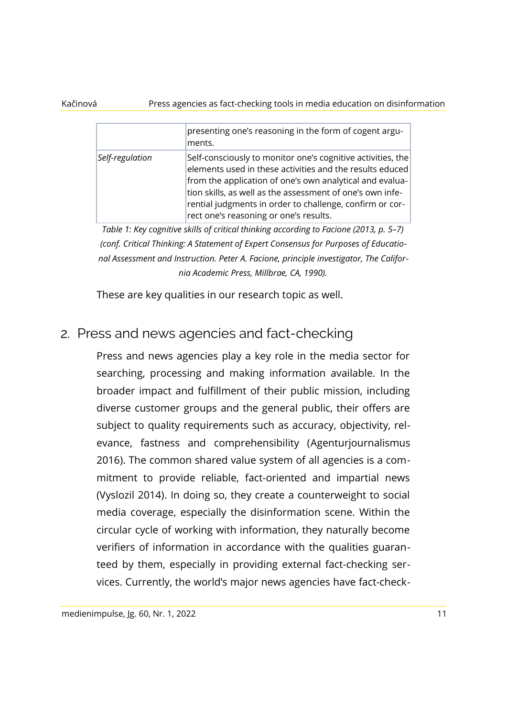### Kačinová Press agencies as fact-checking tools in media education on disinformation

|                 | presenting one's reasoning in the form of cogent argu-<br>ments.                                                                                                                                                                                                                                                                                       |
|-----------------|--------------------------------------------------------------------------------------------------------------------------------------------------------------------------------------------------------------------------------------------------------------------------------------------------------------------------------------------------------|
| Self-regulation | Self-consciously to monitor one's cognitive activities, the<br>elements used in these activities and the results educed<br>from the application of one's own analytical and evalua-<br>tion skills, as well as the assessment of one's own infe-<br>rential judgments in order to challenge, confirm or cor-<br>rect one's reasoning or one's results. |

*Table 1: Key cognitive skills of critical thinking according to Facione (2013, p. 5–7) (conf. Critical Thinking: A Statement of Expert Consensus for Purposes of Educational Assessment and Instruction. Peter A. Facione, principle investigator, The California Academic Press, Millbrae, CA, 1990).*

These are key qualities in our research topic as well.

### 2. Press and news agencies and fact-checking

Press and news agencies play a key role in the media sector for searching, processing and making information available. In the broader impact and fulfillment of their public mission, including diverse customer groups and the general public, their offers are subject to quality requirements such as accuracy, objectivity, relevance, fastness and comprehensibility (Agenturjournalismus 2016). The common shared value system of all agencies is a commitment to provide reliable, fact-oriented and impartial news (Vyslozil 2014). In doing so, they create a counterweight to social media coverage, especially the disinformation scene. Within the circular cycle of working with information, they naturally become verifiers of information in accordance with the qualities guaranteed by them, especially in providing external fact-checking services. Currently, the world's major news agencies have fact-check-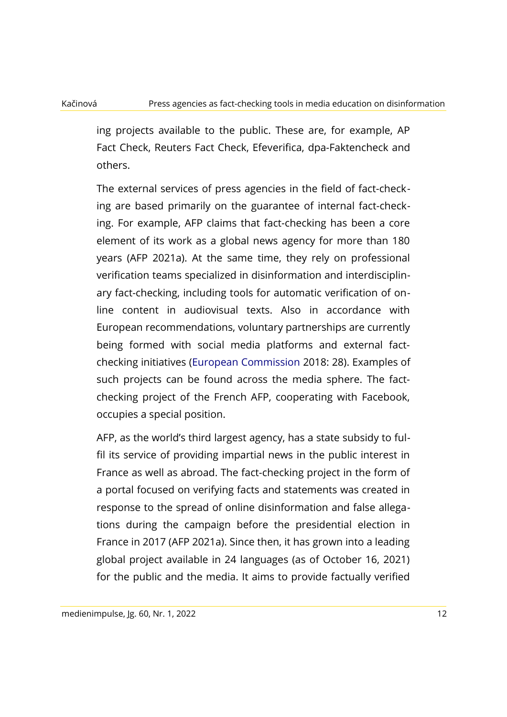ing projects available to the public. These are, for example, AP Fact Check, Reuters Fact Check, Efeverifica, dpa-Faktencheck and others.

The external services of press agencies in the field of fact-checking are based primarily on the guarantee of internal fact-checking. For example, AFP claims that fact-checking has been a core element of its work as a global news agency for more than 180 years (AFP 2021a). At the same time, they rely on professional verification teams specialized in disinformation and interdisciplinary fact-checking, including tools for automatic verification of online content in audiovisual texts. Also in accordance with European recommendations, voluntary partnerships are currently being formed with social media platforms and external factchecking initiatives (European Commission 2018: 28). Examples of such projects can be found across the media sphere. The factchecking project of the French AFP, cooperating with Facebook, occupies a special position.

AFP, as the world's third largest agency, has a state subsidy to fulfil its service of providing impartial news in the public interest in France as well as abroad. The fact-checking project in the form of a portal focused on verifying facts and statements was created in response to the spread of online disinformation and false allegations during the campaign before the presidential election in France in 2017 (AFP 2021a). Since then, it has grown into a leading global project available in 24 languages (as of October 16, 2021) for the public and the media. It aims to provide factually verified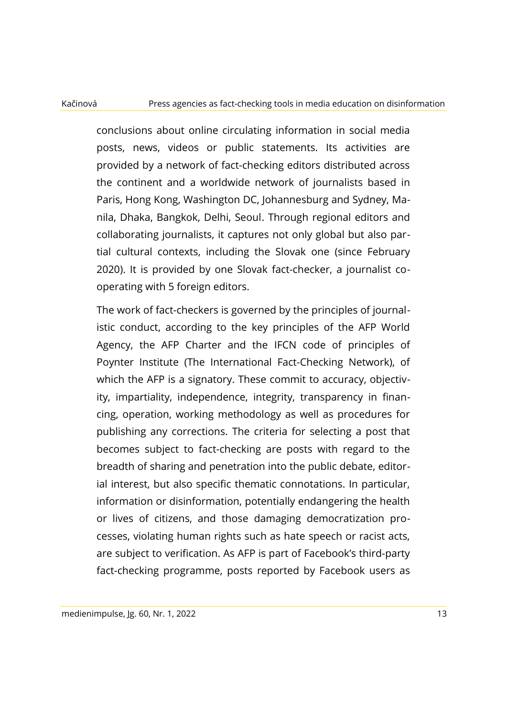conclusions about online circulating information in social media posts, news, videos or public statements. Its activities are provided by a network of fact-checking editors distributed across the continent and a worldwide network of journalists based in Paris, Hong Kong, Washington DC, Johannesburg and Sydney, Manila, Dhaka, Bangkok, Delhi, Seoul. Through regional editors and collaborating journalists, it captures not only global but also partial cultural contexts, including the Slovak one (since February 2020). It is provided by one Slovak fact-checker, a journalist cooperating with 5 foreign editors.

The work of fact-checkers is governed by the principles of journalistic conduct, according to the key principles of the AFP World Agency, the AFP Charter and the IFCN code of principles of Poynter Institute (The International Fact-Checking Network), of which the AFP is a signatory. These commit to accuracy, objectivity, impartiality, independence, integrity, transparency in financing, operation, working methodology as well as procedures for publishing any corrections. The criteria for selecting a post that becomes subject to fact-checking are posts with regard to the breadth of sharing and penetration into the public debate, editorial interest, but also specific thematic connotations. In particular, information or disinformation, potentially endangering the health or lives of citizens, and those damaging democratization processes, violating human rights such as hate speech or racist acts, are subject to verification. As AFP is part of Facebook's third-party fact-checking programme, posts reported by Facebook users as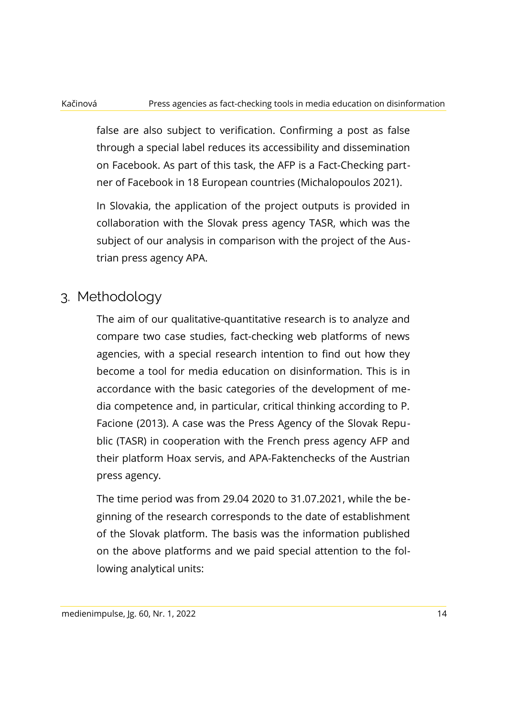false are also subject to verification. Confirming a post as false through a special label reduces its accessibility and dissemination on Facebook. As part of this task, the AFP is a Fact-Checking partner of Facebook in 18 European countries (Michalopoulos 2021).

In Slovakia, the application of the project outputs is provided in collaboration with the Slovak press agency TASR, which was the subject of our analysis in comparison with the project of the Austrian press agency APA.

### 3. Methodology

The aim of our qualitative-quantitative research is to analyze and compare two case studies, fact-checking web platforms of news agencies, with a special research intention to find out how they become a tool for media education on disinformation. This is in accordance with the basic categories of the development of media competence and, in particular, critical thinking according to P. Facione (2013). A case was the Press Agency of the Slovak Republic (TASR) in cooperation with the French press agency AFP and their platform Hoax servis, and APA-Faktenchecks of the Austrian press agency.

The time period was from 29.04 2020 to 31.07.2021, while the beginning of the research corresponds to the date of establishment of the Slovak platform. The basis was the information published on the above platforms and we paid special attention to the following analytical units: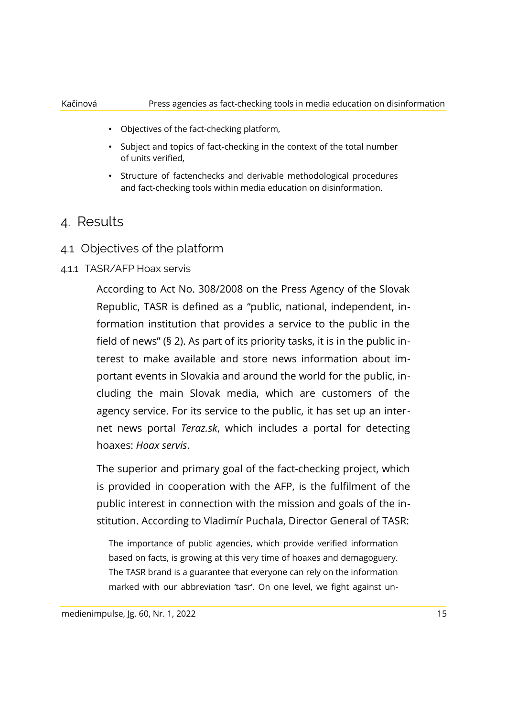- Objectives of the fact-checking platform,
- Subject and topics of fact-checking in the context of the total number of units verified,
- Structure of factenchecks and derivable methodological procedures and fact-checking tools within media education on disinformation.

### 4. Results

4.1 Objectives of the platform

### 4.1.1 TASR/AFP Hoax servis

According to Act No. 308/2008 on the Press Agency of the Slovak Republic, TASR is defined as a "public, national, independent, information institution that provides a service to the public in the field of news" (§ 2). As part of its priority tasks, it is in the public interest to make available and store news information about important events in Slovakia and around the world for the public, including the main Slovak media, which are customers of the agency service. For its service to the public, it has set up an internet news portal *Teraz.sk*, which includes a portal for detecting hoaxes: *Hoax servis*.

The superior and primary goal of the fact-checking project, which is provided in cooperation with the AFP, is the fulfilment of the public interest in connection with the mission and goals of the institution. According to Vladimír Puchala, Director General of TASR:

The importance of public agencies, which provide verified information based on facts, is growing at this very time of hoaxes and demagoguery. The TASR brand is a guarantee that everyone can rely on the information marked with our abbreviation 'tasr'. On one level, we fight against un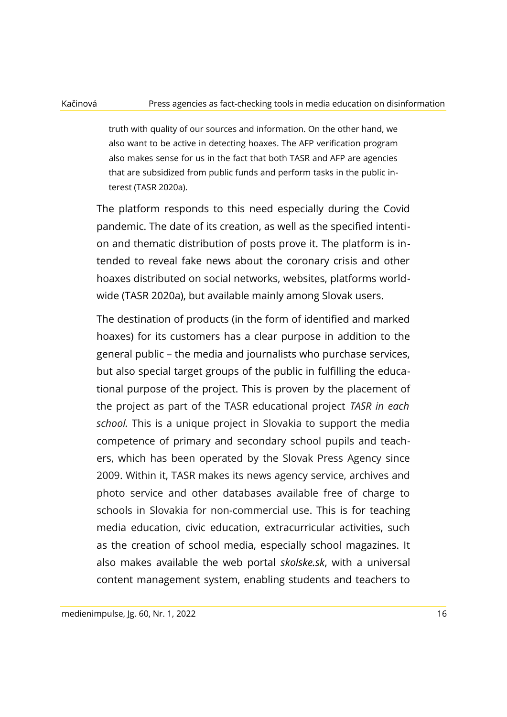truth with quality of our sources and information. On the other hand, we also want to be active in detecting hoaxes. The AFP verification program also makes sense for us in the fact that both TASR and AFP are agencies that are subsidized from public funds and perform tasks in the public interest (TASR 2020a).

The platform responds to this need especially during the Covid pandemic. The date of its creation, as well as the specified intention and thematic distribution of posts prove it. The platform is intended to reveal fake news about the coronary crisis and other hoaxes distributed on social networks, websites, platforms worldwide (TASR 2020a), but available mainly among Slovak users.

The destination of products (in the form of identified and marked hoaxes) for its customers has a clear purpose in addition to the general public – the media and journalists who purchase services, but also special target groups of the public in fulfilling the educational purpose of the project. This is proven by the placement of the project as part of the TASR educational project *TASR in each school.* This is a unique project in Slovakia to support the media competence of primary and secondary school pupils and teachers, which has been operated by the Slovak Press Agency since 2009. Within it, TASR makes its news agency service, archives and photo service and other databases available free of charge to schools in Slovakia for non-commercial use. This is for teaching media education, civic education, extracurricular activities, such as the creation of school media, especially school magazines. It also makes available the web portal *skolske.sk*, with a universal content management system, enabling students and teachers to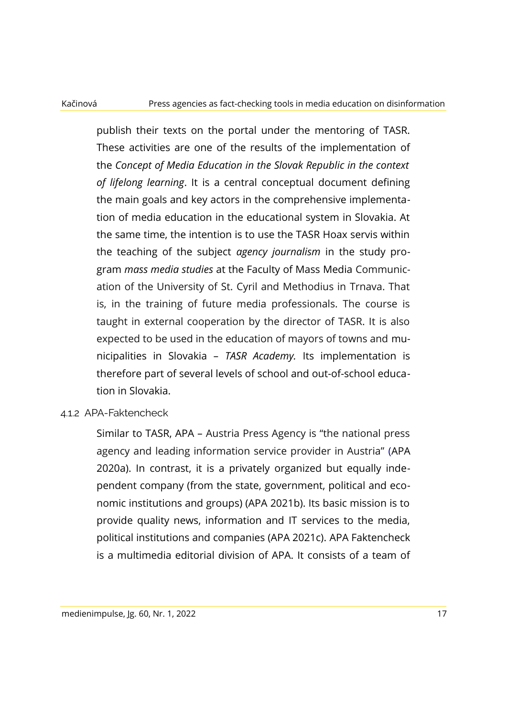publish their texts on the portal under the mentoring of TASR. These activities are one of the results of the implementation of the *Concept of Media Education in the Slovak Republic in the context of lifelong learning*. It is a central conceptual document defining the main goals and key actors in the comprehensive implementation of media education in the educational system in Slovakia. At the same time, the intention is to use the TASR Hoax servis within the teaching of the subject *agency journalism* in the study program *mass media studies* at the Faculty of Mass Media Communication of the University of St. Cyril and Methodius in Trnava. That is, in the training of future media professionals. The course is taught in external cooperation by the director of TASR. It is also expected to be used in the education of mayors of towns and municipalities in Slovakia – *TASR Academy.* Its implementation is therefore part of several levels of school and out-of-school education in Slovakia.

### 4.1.2 APA-Faktencheck

Similar to TASR, APA – Austria Press Agency is "the national press agency and leading information service provider in Austria" (APA 2020a). In contrast, it is a privately organized but equally independent company (from the state, government, political and economic institutions and groups) (APA 2021b). Its basic mission is to provide quality news, information and IT services to the media, political institutions and companies (APA 2021c). APA Faktencheck is a multimedia editorial division of APA. It consists of a team of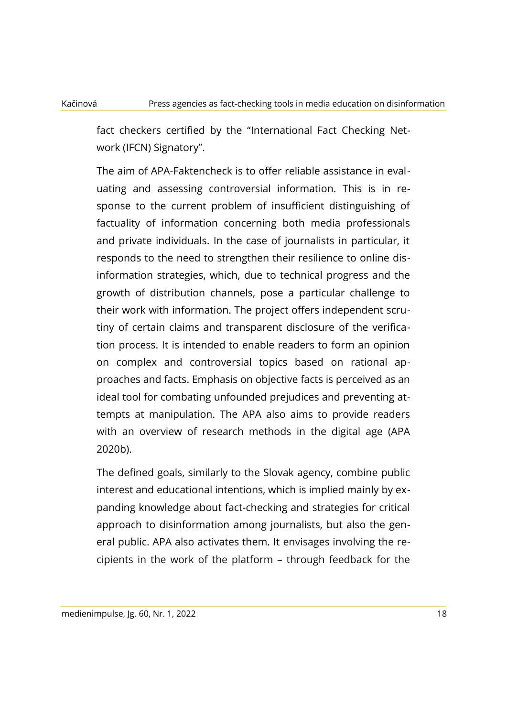fact checkers certified by the "International Fact Checking Network (IFCN) Signatory".

The aim of APA-Faktencheck is to offer reliable assistance in evaluating and assessing controversial information. This is in response to the current problem of insufficient distinguishing of factuality of information concerning both media professionals and private individuals. In the case of journalists in particular, it responds to the need to strengthen their resilience to online disinformation strategies, which, due to technical progress and the growth of distribution channels, pose a particular challenge to their work with information. The project offers independent scrutiny of certain claims and transparent disclosure of the verification process. It is intended to enable readers to form an opinion on complex and controversial topics based on rational approaches and facts. Emphasis on objective facts is perceived as an ideal tool for combating unfounded prejudices and preventing attempts at manipulation. The APA also aims to provide readers with an overview of research methods in the digital age (APA 2020b).

The defined goals, similarly to the Slovak agency, combine public interest and educational intentions, which is implied mainly by expanding knowledge about fact-checking and strategies for critical approach to disinformation among journalists, but also the general public. APA also activates them. It envisages involving the recipients in the work of the platform – through feedback for the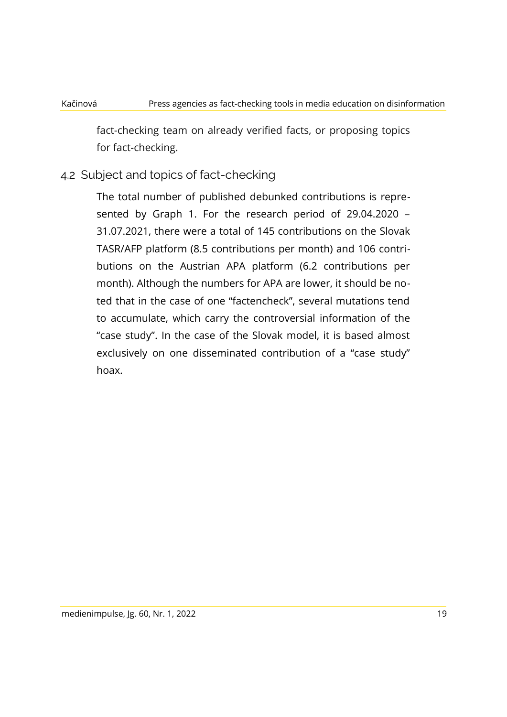fact-checking team on already verified facts, or proposing topics for fact-checking.

### 4.2 Subject and topics of fact-checking

The total number of published debunked contributions is represented by Graph 1. For the research period of 29.04.2020 – 31.07.2021, there were a total of 145 contributions on the Slovak TASR/AFP platform (8.5 contributions per month) and 106 contributions on the Austrian APA platform (6.2 contributions per month). Although the numbers for APA are lower, it should be noted that in the case of one "factencheck", several mutations tend to accumulate, which carry the controversial information of the "case study". In the case of the Slovak model, it is based almost exclusively on one disseminated contribution of a "case study" hoax.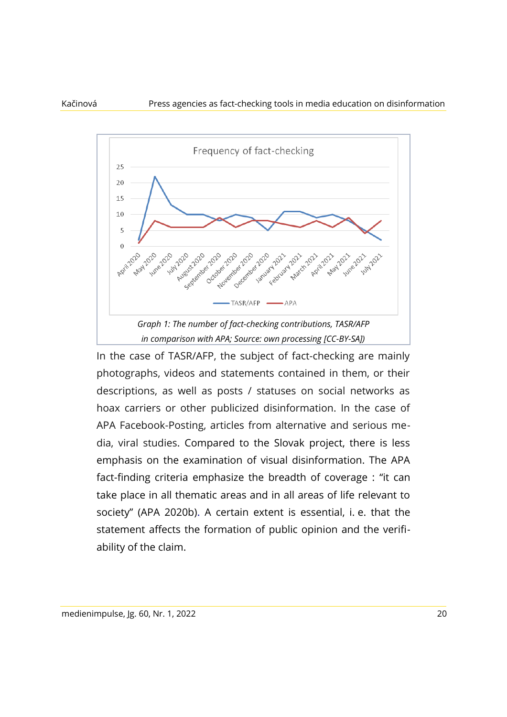

In the case of TASR/AFP, the subject of fact-checking are mainly photographs, videos and statements contained in them, or their descriptions, as well as posts / statuses on social networks as hoax carriers or other publicized disinformation. In the case of APA Facebook-Posting, articles from alternative and serious media, viral studies. Compared to the Slovak project, there is less emphasis on the examination of visual disinformation. The APA fact-finding criteria emphasize the breadth of coverage : "it can take place in all thematic areas and in all areas of life relevant to society" (APA 2020b). A certain extent is essential, i. e. that the statement affects the formation of public opinion and the verifiability of the claim.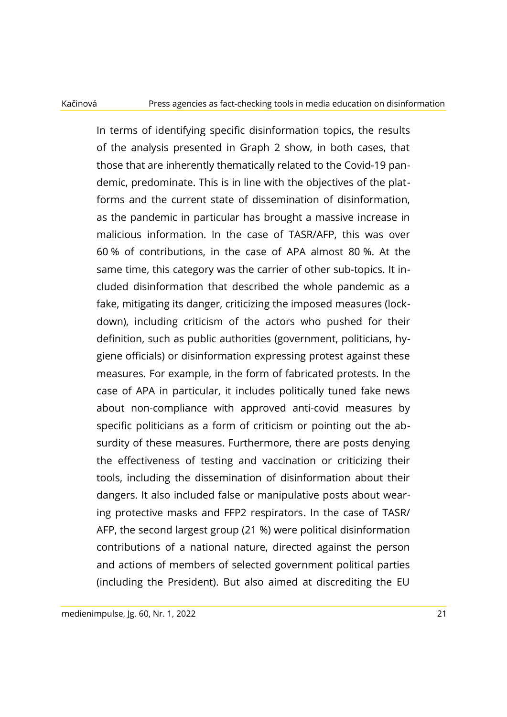In terms of identifying specific disinformation topics, the results of the analysis presented in Graph 2 show, in both cases, that those that are inherently thematically related to the Covid-19 pandemic, predominate. This is in line with the objectives of the platforms and the current state of dissemination of disinformation, as the pandemic in particular has brought a massive increase in malicious information. In the case of TASR/AFP, this was over 60 % of contributions, in the case of APA almost 80 %. At the same time, this category was the carrier of other sub-topics. It included disinformation that described the whole pandemic as a fake, mitigating its danger, criticizing the imposed measures (lockdown), including criticism of the actors who pushed for their definition, such as public authorities (government, politicians, hygiene officials) or disinformation expressing protest against these measures. For example, in the form of fabricated protests. In the case of APA in particular, it includes politically tuned fake news about non-compliance with approved anti-covid measures by specific politicians as a form of criticism or pointing out the absurdity of these measures. Furthermore, there are posts denying the effectiveness of testing and vaccination or criticizing their tools, including the dissemination of disinformation about their dangers. It also included false or manipulative posts about wearing protective masks and FFP2 respirators. In the case of TASR/ AFP, the second largest group (21 %) were political disinformation contributions of a national nature, directed against the person and actions of members of selected government political parties (including the President). But also aimed at discrediting the EU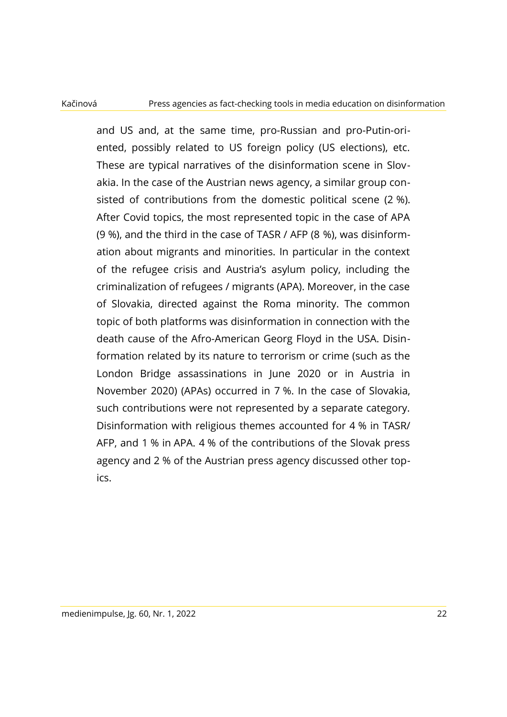and US and, at the same time, pro-Russian and pro-Putin-oriented, possibly related to US foreign policy (US elections), etc. These are typical narratives of the disinformation scene in Slovakia. In the case of the Austrian news agency, a similar group consisted of contributions from the domestic political scene (2 %). After Covid topics, the most represented topic in the case of APA (9 %), and the third in the case of TASR / AFP (8 %), was disinformation about migrants and minorities. In particular in the context of the refugee crisis and Austria's asylum policy, including the criminalization of refugees / migrants (APA). Moreover, in the case of Slovakia, directed against the Roma minority. The common topic of both platforms was disinformation in connection with the death cause of the Afro-American Georg Floyd in the USA. Disinformation related by its nature to terrorism or crime (such as the London Bridge assassinations in June 2020 or in Austria in November 2020) (APAs) occurred in 7 %. In the case of Slovakia, such contributions were not represented by a separate category. Disinformation with religious themes accounted for 4 % in TASR/ AFP, and 1 % in APA. 4 % of the contributions of the Slovak press agency and 2 % of the Austrian press agency discussed other topics.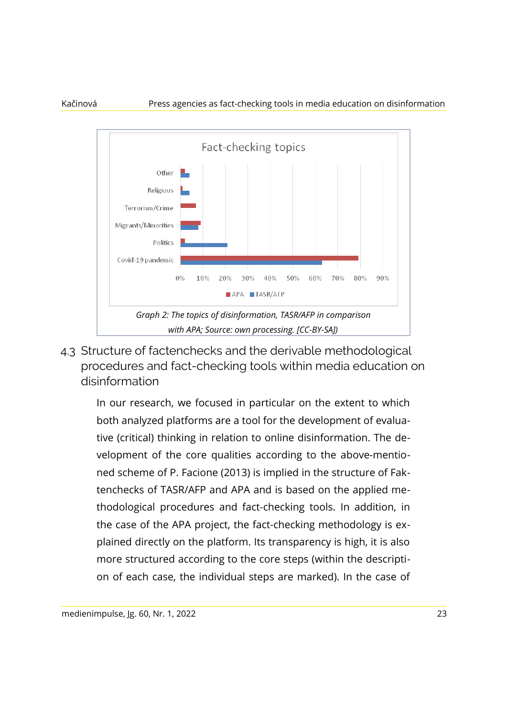

4.3 Structure of factenchecks and the derivable methodological procedures and fact-checking tools within media education on disinformation

In our research, we focused in particular on the extent to which both analyzed platforms are a tool for the development of evaluative (critical) thinking in relation to online disinformation. The development of the core qualities according to the above-mentioned scheme of P. Facione (2013) is implied in the structure of Faktenchecks of TASR/AFP and APA and is based on the applied methodological procedures and fact-checking tools. In addition, in the case of the APA project, the fact-checking methodology is explained directly on the platform. Its transparency is high, it is also more structured according to the core steps (within the description of each case, the individual steps are marked). In the case of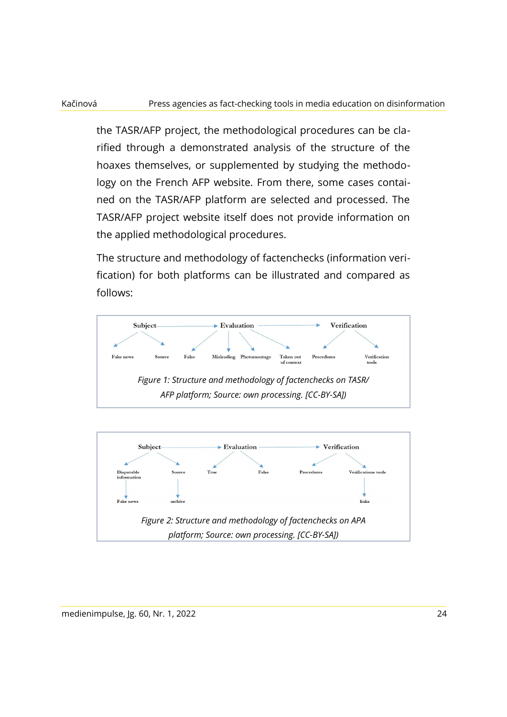### Kačinová Press agencies as fact-checking tools in media education on disinformation

the TASR/AFP project, the methodological procedures can be clarified through a demonstrated analysis of the structure of the hoaxes themselves, or supplemented by studying the methodology on the French AFP website. From there, some cases contained on the TASR/AFP platform are selected and processed. The TASR/AFP project website itself does not provide information on the applied methodological procedures.

The structure and methodology of factenchecks (information verification) for both platforms can be illustrated and compared as follows:



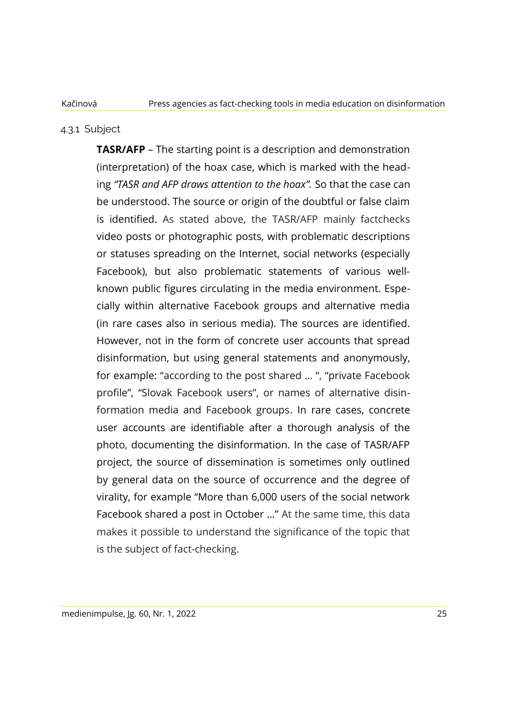### 4.3.1 Subject

**TASR/AFP** – The starting point is a description and demonstration (interpretation) of the hoax case, which is marked with the heading *"TASR and AFP draws attention to the hoax".* So that the case can be understood. The source or origin of the doubtful or false claim is identified. As stated above, the TASR/AFP mainly factchecks video posts or photographic posts, with problematic descriptions or statuses spreading on the Internet, social networks (especially Facebook), but also problematic statements of various wellknown public figures circulating in the media environment. Especially within alternative Facebook groups and alternative media (in rare cases also in serious media). The sources are identified. However, not in the form of concrete user accounts that spread disinformation, but using general statements and anonymously, for example: "according to the post shared … ", "private Facebook profile", "Slovak Facebook users", or names of alternative disinformation media and Facebook groups. In rare cases, concrete user accounts are identifiable after a thorough analysis of the photo, documenting the disinformation. In the case of TASR/AFP project, the source of dissemination is sometimes only outlined by general data on the source of occurrence and the degree of virality, for example "More than 6,000 users of the social network Facebook shared a post in October …" At the same time, this data makes it possible to understand the significance of the topic that is the subject of fact-checking.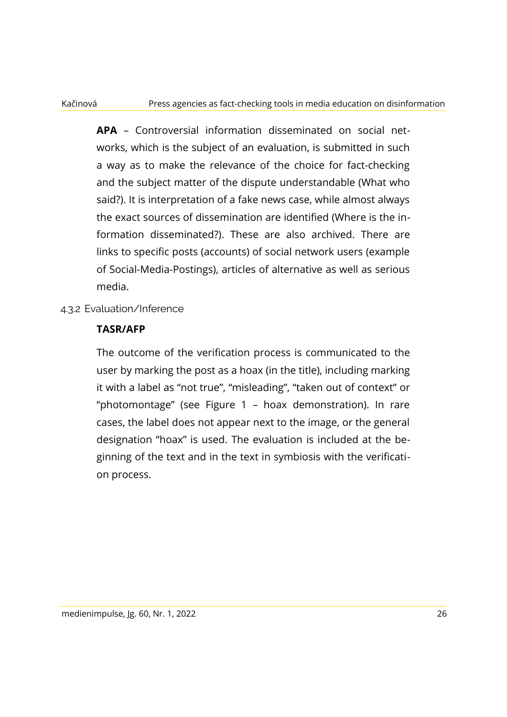**APA** – Controversial information disseminated on social networks, which is the subject of an evaluation, is submitted in such a way as to make the relevance of the choice for fact-checking and the subject matter of the dispute understandable (What who said?). It is interpretation of a fake news case, while almost always the exact sources of dissemination are identified (Where is the information disseminated?). These are also archived. There are links to specific posts (accounts) of social network users (example of Social-Media-Postings), articles of alternative as well as serious media.

### 4.3.2 Evaluation/Inference

### **TASR/AFP**

The outcome of the verification process is communicated to the user by marking the post as a hoax (in the title), including marking it with a label as "not true", "misleading", "taken out of context" or "photomontage" (see Figure 1 – hoax demonstration). In rare cases, the label does not appear next to the image, or the general designation "hoax" is used. The evaluation is included at the beginning of the text and in the text in symbiosis with the verification process.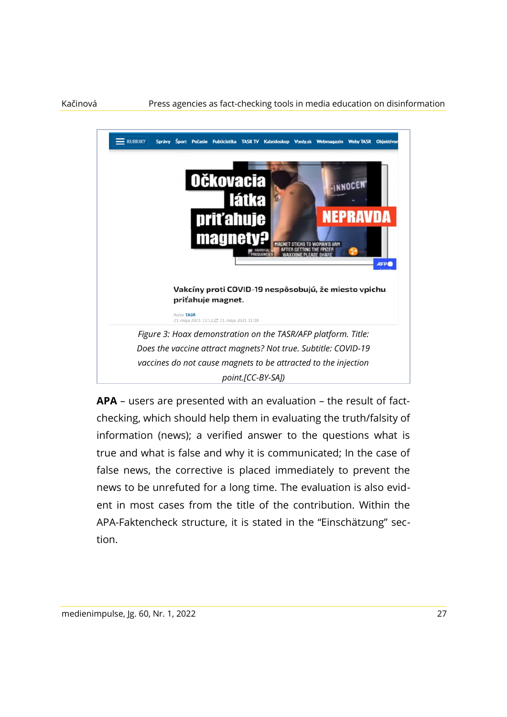

**APA** – users are presented with an evaluation – the result of factchecking, which should help them in evaluating the truth/falsity of information (news); a verified answer to the questions what is true and what is false and why it is communicated; In the case of false news, the corrective is placed immediately to prevent the news to be unrefuted for a long time. The evaluation is also evident in most cases from the title of the contribution. Within the APA-Faktencheck structure, it is stated in the "Einschätzung" section.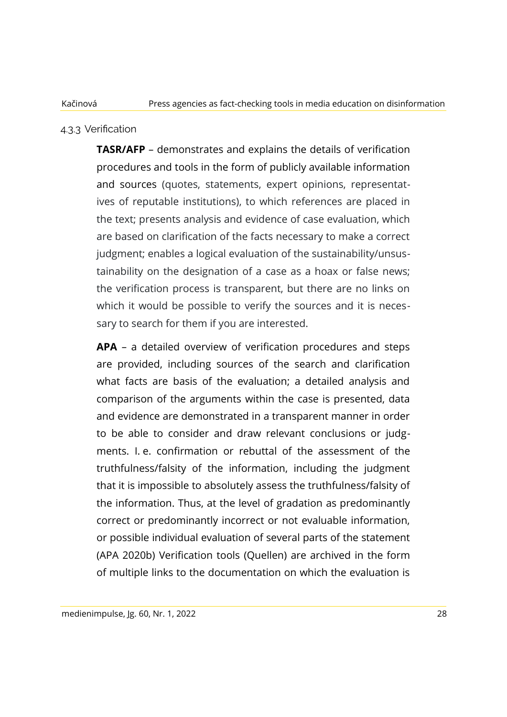### 4.3.3 Verification

**TASR/AFP** – demonstrates and explains the details of verification procedures and tools in the form of publicly available information and sources (quotes, statements, expert opinions, representatives of reputable institutions), to which references are placed in the text; presents analysis and evidence of case evaluation, which are based on clarification of the facts necessary to make a correct judgment; enables a logical evaluation of the sustainability/unsustainability on the designation of a case as a hoax or false news; the verification process is transparent, but there are no links on which it would be possible to verify the sources and it is necessary to search for them if you are interested.

**APA** – a detailed overview of verification procedures and steps are provided, including sources of the search and clarification what facts are basis of the evaluation; a detailed analysis and comparison of the arguments within the case is presented, data and evidence are demonstrated in a transparent manner in order to be able to consider and draw relevant conclusions or judgments. I. e. confirmation or rebuttal of the assessment of the truthfulness/falsity of the information, including the judgment that it is impossible to absolutely assess the truthfulness/falsity of the information. Thus, at the level of gradation as predominantly correct or predominantly incorrect or not evaluable information, or possible individual evaluation of several parts of the statement (APA 2020b) Verification tools (Quellen) are archived in the form of multiple links to the documentation on which the evaluation is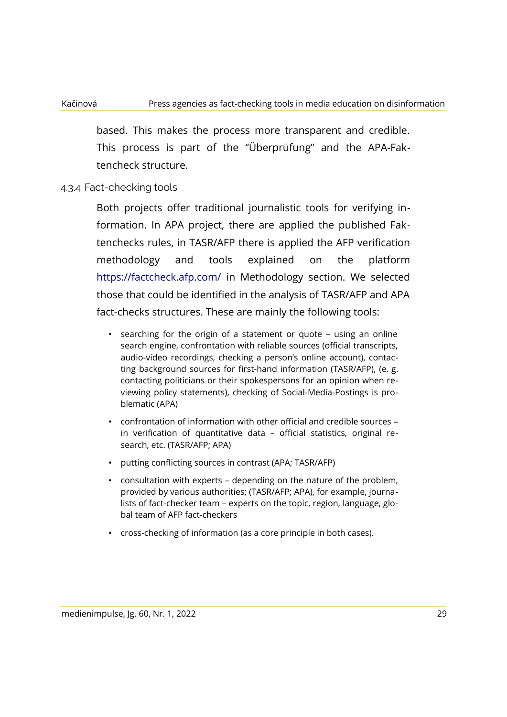based. This makes the process more transparent and credible. This process is part of the "Überprüfung" and the APA-Faktencheck structure.

### 4.3.4 Fact-checking tools

Both projects offer traditional journalistic tools for verifying information. In APA project, there are applied the published Faktenchecks rules, in TASR/AFP there is applied the AFP verification methodology and tools explained on the platform https://factcheck.afp.com/ in Methodology section. We selected those that could be identified in the analysis of TASR/AFP and APA fact-checks structures. These are mainly the following tools:

- searching for the origin of a statement or quote using an online search engine, confrontation with reliable sources (official transcripts, audio-video recordings, checking a person's online account), contacting background sources for first-hand information (TASR/AFP), (e. g. contacting politicians or their spokespersons for an opinion when reviewing policy statements), checking of Social-Media-Postings is problematic (APA)
- confrontation of information with other official and credible sources in verification of quantitative data – official statistics, original research, etc. (TASR/AFP; APA)
- putting conflicting sources in contrast (APA; TASR/AFP)
- consultation with experts depending on the nature of the problem, provided by various authorities; (TASR/AFP; APA), for example, journalists of fact-checker team – experts on the topic, region, language, global team of AFP fact-checkers
- cross-checking of information (as a core principle in both cases).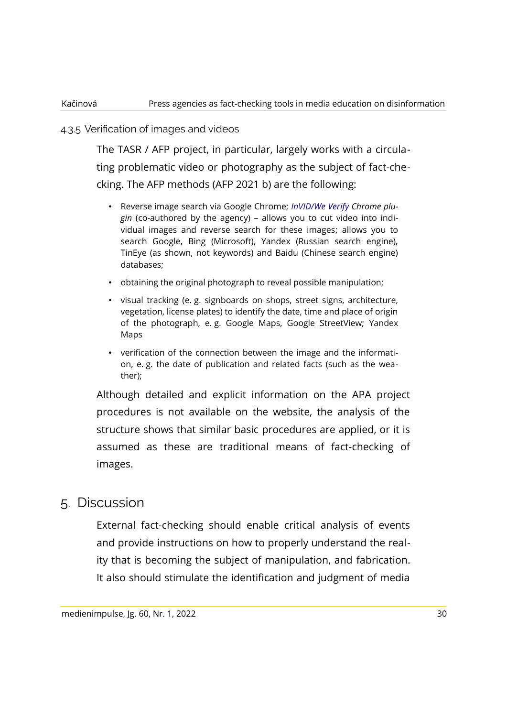### 4.3.5 Verification of images and videos

The TASR / AFP project, in particular, largely works with a circulating problematic video or photography as the subject of fact-checking. The AFP methods (AFP 2021 b) are the following:

- Reverse image search via Google Chrome; *InVID/We Verify Chrome plugin* (co-authored by the agency) – allows you to cut video into individual images and reverse search for these images; allows you to search Google, Bing (Microsoft), Yandex (Russian search engine), TinEye (as shown, not keywords) and Baidu (Chinese search engine) databases;
- obtaining the original photograph to reveal possible manipulation;
- visual tracking (e. g. signboards on shops, street signs, architecture, vegetation, license plates) to identify the date, time and place of origin of the photograph, e. g. Google Maps, Google StreetView; Yandex Maps
- verification of the connection between the image and the information, e. g. the date of publication and related facts (such as the weather);

Although detailed and explicit information on the APA project procedures is not available on the website, the analysis of the structure shows that similar basic procedures are applied, or it is assumed as these are traditional means of fact-checking of images.

### 5. Discussion

External fact-checking should enable critical analysis of events and provide instructions on how to properly understand the reality that is becoming the subject of manipulation, and fabrication. It also should stimulate the identification and judgment of media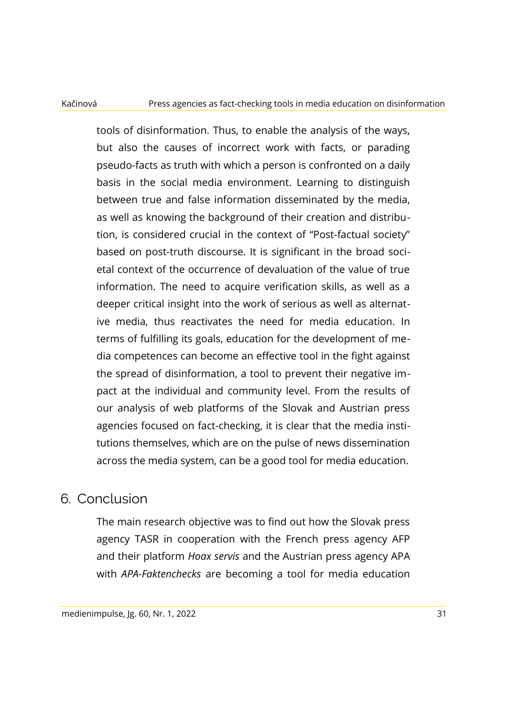tools of disinformation. Thus, to enable the analysis of the ways, but also the causes of incorrect work with facts, or parading pseudo-facts as truth with which a person is confronted on a daily basis in the social media environment. Learning to distinguish between true and false information disseminated by the media, as well as knowing the background of their creation and distribution, is considered crucial in the context of "Post-factual society" based on post-truth discourse. It is significant in the broad societal context of the occurrence of devaluation of the value of true information. The need to acquire verification skills, as well as a deeper critical insight into the work of serious as well as alternative media, thus reactivates the need for media education. In terms of fulfilling its goals, education for the development of media competences can become an effective tool in the fight against the spread of disinformation, a tool to prevent their negative impact at the individual and community level. From the results of our analysis of web platforms of the Slovak and Austrian press agencies focused on fact-checking, it is clear that the media institutions themselves, which are on the pulse of news dissemination across the media system, can be a good tool for media education.

### 6. Conclusion

The main research objective was to find out how the Slovak press agency TASR in cooperation with the French press agency AFP and their platform *Hoax servis* and the Austrian press agency APA with *APA-Faktenchecks* are becoming a tool for media education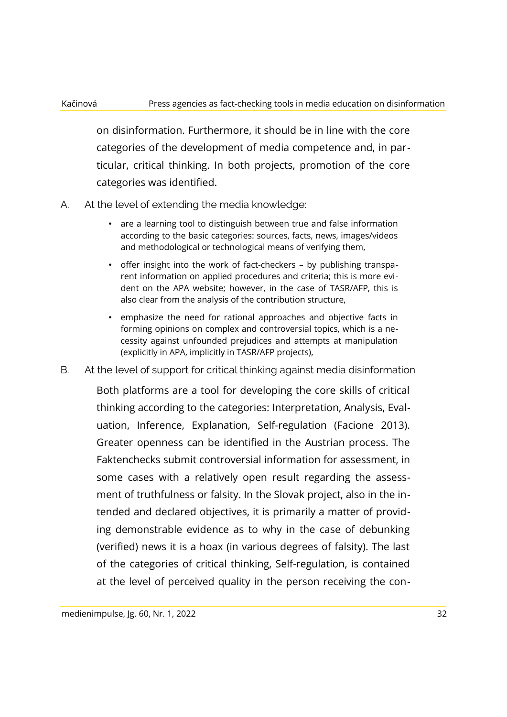on disinformation. Furthermore, it should be in line with the core categories of the development of media competence and, in particular, critical thinking. In both projects, promotion of the core categories was identified.

- A. At the level of extending the media knowledge:
	- are a learning tool to distinguish between true and false information according to the basic categories: sources, facts, news, images/videos and methodological or technological means of verifying them,
	- offer insight into the work of fact-checkers by publishing transparent information on applied procedures and criteria; this is more evident on the APA website; however, in the case of TASR/AFP, this is also clear from the analysis of the contribution structure,
	- emphasize the need for rational approaches and objective facts in forming opinions on complex and controversial topics, which is a necessity against unfounded prejudices and attempts at manipulation (explicitly in APA, implicitly in TASR/AFP projects),
- B. At the level of support for critical thinking against media disinformation

Both platforms are a tool for developing the core skills of critical thinking according to the categories: Interpretation, Analysis, Evaluation, Inference, Explanation, Self-regulation (Facione 2013). Greater openness can be identified in the Austrian process. The Faktenchecks submit controversial information for assessment, in some cases with a relatively open result regarding the assessment of truthfulness or falsity. In the Slovak project, also in the intended and declared objectives, it is primarily a matter of providing demonstrable evidence as to why in the case of debunking (verified) news it is a hoax (in various degrees of falsity). The last of the categories of critical thinking, Self-regulation, is contained at the level of perceived quality in the person receiving the con-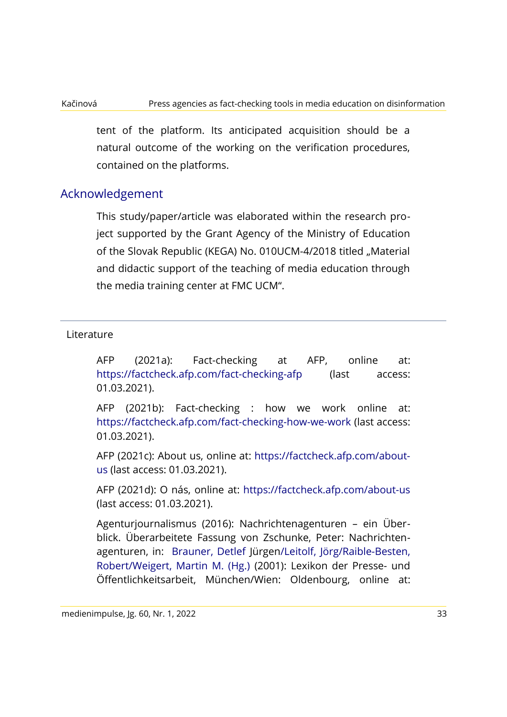### Kačinová Press agencies as fact-checking tools in media education on disinformation

tent of the platform. Its anticipated acquisition should be a natural outcome of the working on the verification procedures, contained on the platforms.

### Acknowledgement

This study/paper/article was elaborated within the research project supported by the Grant Agency of the Ministry of Education of the Slovak Republic (KEGA) No. 010UCM-4/2018 titled "Material and didactic support of the teaching of media education through the media training center at FMC UCM".

### Literature

AFP (2021a): Fact-checking at AFP, online at: https://factcheck.afp.com/fact-checking-afp (last access: 01.03.2021).

AFP (2021b): Fact-checking : how we work online at: https://factcheck.afp.com/fact-checking-how-we-work (last access: 01.03.2021).

AFP (2021c): About us, online at: https://factcheck.afp.com/aboutus (last access: 01.03.2021).

AFP (2021d): O nás, online at: https://factcheck.afp.com/about-us (last access: 01.03.2021).

Agenturjournalismus (2016): Nachrichtenagenturen – ein Überblick. Überarbeitete Fassung von Zschunke, Peter: Nachrichtenagenturen, in: Brauner, Detlef Jürgen/Leitolf, Jörg/Raible-Besten, Robert/Weigert, Martin M. (Hg.) (2001): Lexikon der Presse- und Öffentlichkeitsarbeit, München/Wien: Oldenbourg, online at: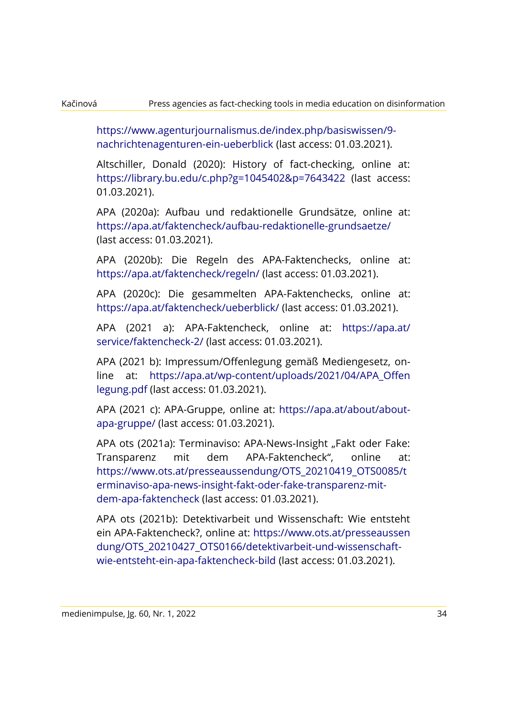https://www.agenturjournalismus.de/index.php/basiswissen/9 nachrichtenagenturen-ein-ueberblick (last access: 01.03.2021).

Altschiller, Donald (2020): History of fact-checking, online at: https://library.bu.edu/c.php?g=1045402&p=7643422 (last access: 01.03.2021).

APA (2020a): Aufbau und redaktionelle Grundsätze, online at: https://apa.at/faktencheck/aufbau-redaktionelle-grundsaetze/ (last access: 01.03.2021).

APA (2020b): Die Regeln des APA-Faktenchecks, online at: https://apa.at/faktencheck/regeln/ (last access: 01.03.2021).

APA (2020c): Die gesammelten APA-Faktenchecks, online at: https://apa.at/faktencheck/ueberblick/ (last access: 01.03.2021).

APA (2021 a): APA-Faktencheck, online at:<https://apa.at/> service/faktencheck-2/ (last access: 01.03.2021).

APA (2021 b): Impressum/Offenlegung gemäß Mediengesetz, online at: [https://apa.at/wp-content/uploads/2021/04/APA\\_Offen](https://apa.at/wp-content/uploads/2021/04/APA_Offen) legung.pdf (last access: 01.03.2021).

APA (2021 c): APA-Gruppe, online at: https://apa.at/about/aboutapa-gruppe/ (last access: 01.03.2021).

APA ots (2021a): Terminaviso: APA-News-Insight "Fakt oder Fake: Transparenz mit dem APA-Faktencheck", online at: https://www.ots.at/presseaussendung/OTS\_20210419\_OTS0085/t erminaviso-apa-news-insight-fakt-oder-fake-transparenz-mitdem-apa-faktencheck (last access: 01.03.2021).

APA ots (2021b): Detektivarbeit und Wissenschaft: Wie entsteht ein APA-Faktencheck?, online at:<https://www.ots.at/presseaussen> [dung/](https://www.ots.at/presseaussendung/)[OTS](https://www.ots.at/presseaussendung/OTS)[\\_20210](https://www.ots.at/presseaussendung/OTS_2021)427\_OTS0166/detektivarbeit-und-wissenschaftwie-entsteht-ein-apa-faktencheck-bild (last access: 01.03.2021).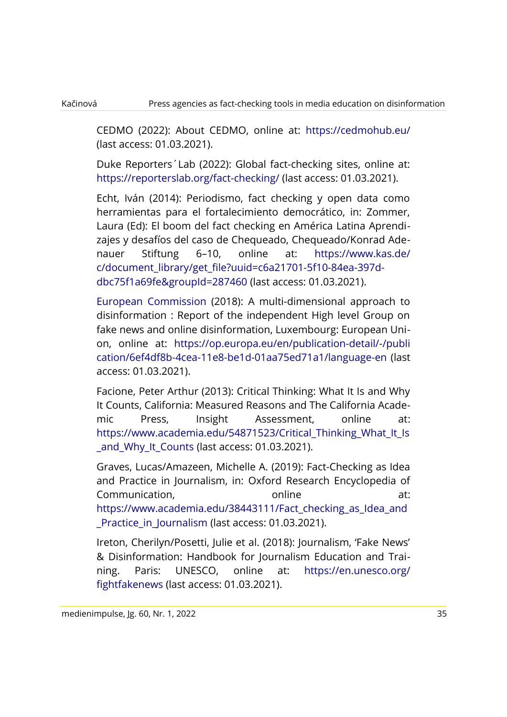CEDMO (2022): About CEDMO, online at: https://cedmohub.eu/ (last access: 01.03.2021).

Duke Reporters´Lab (2022): Global fact-checking sites, online at: https://reporterslab.org/fact-checking/ (last access: 01.03.2021).

Echt, Iván (2014): Periodismo, fact checking y open data como herramientas para el fortalecimiento democrático, in: Zommer, Laura (Ed): El boom del fact checking en América Latina Aprendizajes y desafíos del caso de Chequeado, Chequeado/Konrad Adenauer Stiftung 6–10, online at:<https://www.kas.de/> c/document\_library/get\_file?uuid=c6a21701-5f10-84ea-397ddbc75f1a69fe&groupId=287460 (last access: 01.03.2021).

European Commission (2018): A multi-dimensional approach to disinformation : Report of the independent High level Group on fake news and online disinformation, Luxembourg: European Union, online at:<https://op.europa.eu/en/publication-detail/-/publi> cation/6ef4df8b-4cea-11e8-be1d-01aa75ed71a1/language-en (last access: 01.03.2021).

Facione, Peter Arthur (2013): Critical Thinking: What It Is and Why It Counts, California: Measured Reasons and The California Academic Press, Insight Assessment, online at: https://www.academia.edu/54871523/Critical\_Thinking\_What\_It\_Is and Why It Counts (last access: 01.03.2021).

Graves, Lucas/Amazeen, Michelle A. (2019): Fact-Checking as Idea and Practice in Journalism, in: Oxford Research Encyclopedia of Communication, online at: https://www.academia.edu/38443111/Fact\_checking\_as\_Idea\_and Practice in Journalism (last access: 01.03.2021).

Ireton, Cherilyn/Posetti, Julie et al. (2018): Journalism, 'Fake News' & Disinformation: Handbook for Journalism Education and Training. Paris: UNESCO, online at:<https://en.unesco.org/> fightfakenews (last access: 01.03.2021).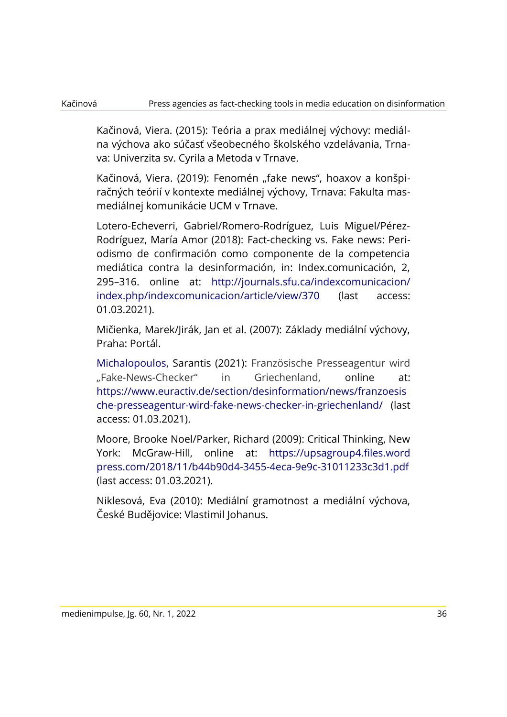Kačinová, Viera. (2015): Teória a prax mediálnej výchovy: mediálna výchova ako súčasť všeobecného školského vzdelávania, Trnava: Univerzita sv. Cyrila a Metoda v Trnave.

Kačinová, Viera. (2019): Fenomén "fake news", hoaxov a konšpiračných teórií v kontexte mediálnej výchovy, Trnava: Fakulta masmediálnej komunikácie UCM v Trnave.

Lotero-Echeverri, Gabriel/Romero-Rodríguez, Luis Miguel/Pérez-Rodríguez, María Amor (2018): Fact-checking vs. Fake news: Periodismo de confirmación como componente de la competencia mediática contra la desinformación, in: Index.comunicación, 2, 295–316. online at:<http://journals.sfu.ca/indexcomunicacion/> [index.php/i](http://journals.sfu.ca/indexcomunicacion/index.php/)ndexcomunicacion/article/view/370 (last access: 01.03.2021).

Mičienka, Marek/Jirák, Jan et al. (2007): Základy mediální výchovy, Praha: Portál.

Michalopoulos, Sarantis (2021): Französische Presseagentur wird "Fake-News-Checker" in Griechenland, online at: https://www.euractiv.de/section/desinformation/news/franzoesis che-presseagentur-wird-fake-news-checker-in-griechenland/ (last access: 01.03.2021).

Moore, Brooke Noel/Parker, Richard (2009): Critical Thinking, New York: McGraw-Hill, online at: [https://upsagroup4.files.word](https://upsagroup4.files.word/) [press.com/2](https://upsagroup4.files.wordpress.com/)018/11/b44b90d4-3455-4eca-9e9c-31011233c3d1.pdf (last access: 01.03.2021).

Niklesová, Eva (2010): Mediální gramotnost a mediální výchova, České Budějovice: Vlastimil Johanus.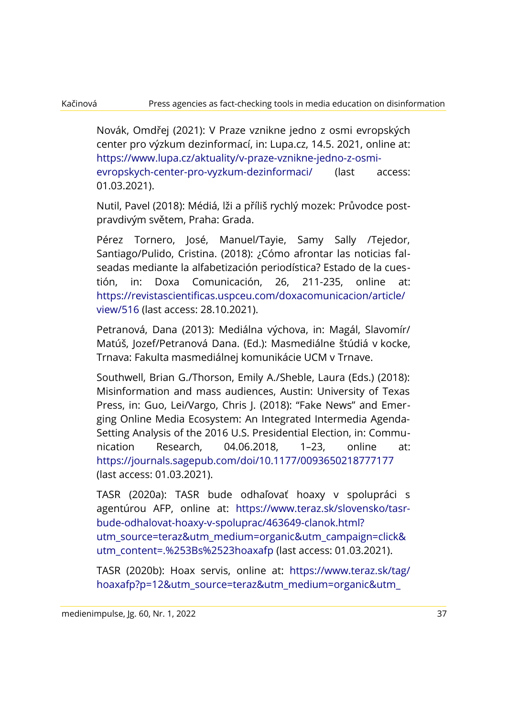Novák, Omdřej (2021): V Praze vznikne jedno z osmi evropských center pro výzkum dezinformací, in: Lupa.cz, 14.5. 2021, online at: https://www.lupa.cz/aktuality/v-praze-vznikne-jedno-z-osmievropskych-center-pro-vyzkum-dezinformaci/ (last access: 01.03.2021).

Nutil, Pavel (2018): Médiá, lži a příliš rychlý mozek: Průvodce postpravdivým světem, Praha: Grada.

Pérez Tornero, José, Manuel/Tayie, Samy Sally /Tejedor, Santiago/Pulido, Cristina. (2018): ¿Cómo afrontar las noticias falseadas mediante la alfabetización periodística? Estado de la cuestión, in: Doxa Comunicación, 26, 211-235, online at: https://revistascientificas.uspceu.com/doxacomunicacion/article/ view/516 (last access: 28.10.2021).

Petranová, Dana (2013): Mediálna výchova, in: Magál, Slavomír/ Matúš, Jozef/Petranová Dana. (Ed.): Masmediálne štúdiá v kocke, Trnava: Fakulta masmediálnej komunikácie UCM v Trnave.

Southwell, Brian G./Thorson, Emily A./Sheble, Laura (Eds.) (2018): Misinformation and mass audiences, Austin: University of Texas Press, in: Guo, Lei/Vargo, Chris I. (2018): "Fake News" and Emerging Online Media Ecosystem: An Integrated Intermedia Agenda-Setting Analysis of the 2016 U.S. Presidential Election, in: Communication Research, 04.06.2018, 1–23, online at: <https://journals.sagepub.com/doi/10.1177/0093650218777177> (last access: 01.03.2021).

TASR (2020a): TASR bude odhaľovať hoaxy v spolupráci s agentúrou AFP, online at: https://www.teraz.sk/slovensko/tasrbude-odhalovat-hoaxy-v-spoluprac/463649-clanok.html? utm\_source=teraz&utm\_medium=organic&utm\_campaign=click& utm\_content=.%253Bs%2523hoaxafp (last access: 01.03.2021).

TASR (2020b): Hoax servis, online at:<https://www.teraz.sk/tag/> hoaxafp?p=12&utm\_source=teraz&utm\_medium=organic&utm\_